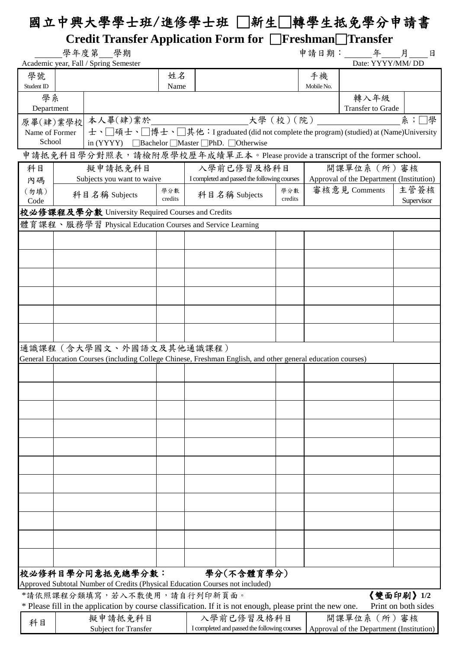## 國立中興大學學士班/進修學士班 □新生□轉學生抵免學分申請書

**Credit Transfer Application Form for** □**Freshman**□**Transfer**

|                  |                      | 學年度第 學期<br>Academic year, Fall / Spring Semester  |                |                                                                                                              |                |                  | 申請日期:__________________________日<br>Date: YYYY/MM/DD      |                     |  |
|------------------|----------------------|---------------------------------------------------|----------------|--------------------------------------------------------------------------------------------------------------|----------------|------------------|-----------------------------------------------------------|---------------------|--|
| 學號<br>Student ID |                      |                                                   | 姓名<br>Name     |                                                                                                              |                | 手機<br>Mobile No. |                                                           |                     |  |
| 學系               |                      |                                                   |                |                                                                                                              |                |                  | 轉入年級                                                      |                     |  |
| Department       |                      |                                                   |                | 大學 (校)(院)                                                                                                    |                |                  | Transfer to Grade                                         | 系;<br>7學            |  |
| Name of Former   |                      | 原畢(肄)業學校 本人畢(肄)業於                                 |                | ±、□碩士、□博士、□其他:I graduated (did not complete the program) (studied) at (Name)University                       |                |                  |                                                           |                     |  |
| School           |                      |                                                   |                | in (YYYY) $\Box$ Bachelor $\Box$ Master $\Box$ PhD. $\Box$ Otherwise                                         |                |                  |                                                           |                     |  |
|                  |                      |                                                   |                | 申請抵免科目學分對照表,請檢附原學校歷年成績單正本。Please provide a transcript of the former school.                                  |                |                  |                                                           |                     |  |
| 科目               |                      | 擬申請抵免科目                                           |                | 入學前已修習及格科目                                                                                                   |                | 開課單位系 (所)審核      |                                                           |                     |  |
| 內碼               |                      | Subjects you want to waive                        |                | I completed and passed the following courses                                                                 |                |                  | Approval of the Department (Institution)<br>審核意見 Comments | 主管簽核                |  |
| (勿填)<br>Code     |                      | 科目名稱 Subjects                                     | 學分數<br>credits | 科目名稱 Subjects                                                                                                | 學分數<br>credits |                  |                                                           | Supervisor          |  |
|                  |                      | 校必修課程及學分數 University Required Courses and Credits |                |                                                                                                              |                |                  |                                                           |                     |  |
|                  |                      |                                                   |                | 體育課程、服務學習 Physical Education Courses and Service Learning                                                    |                |                  |                                                           |                     |  |
|                  |                      |                                                   |                |                                                                                                              |                |                  |                                                           |                     |  |
|                  |                      |                                                   |                |                                                                                                              |                |                  |                                                           |                     |  |
|                  |                      |                                                   |                |                                                                                                              |                |                  |                                                           |                     |  |
|                  |                      |                                                   |                |                                                                                                              |                |                  |                                                           |                     |  |
|                  |                      |                                                   |                |                                                                                                              |                |                  |                                                           |                     |  |
|                  |                      |                                                   |                |                                                                                                              |                |                  |                                                           |                     |  |
|                  |                      |                                                   |                |                                                                                                              |                |                  |                                                           |                     |  |
|                  |                      |                                                   |                |                                                                                                              |                |                  |                                                           |                     |  |
|                  |                      | 通識課程 (含大學國文、外國語文及其他通識課程)                          |                |                                                                                                              |                |                  |                                                           |                     |  |
|                  |                      |                                                   |                | General Education Courses (including College Chinese, Freshman English, and other general education courses) |                |                  |                                                           |                     |  |
|                  |                      |                                                   |                |                                                                                                              |                |                  |                                                           |                     |  |
|                  |                      |                                                   |                |                                                                                                              |                |                  |                                                           |                     |  |
|                  |                      |                                                   |                |                                                                                                              |                |                  |                                                           |                     |  |
|                  |                      |                                                   |                |                                                                                                              |                |                  |                                                           |                     |  |
|                  |                      |                                                   |                |                                                                                                              |                |                  |                                                           |                     |  |
|                  |                      |                                                   |                |                                                                                                              |                |                  |                                                           |                     |  |
|                  |                      |                                                   |                |                                                                                                              |                |                  |                                                           |                     |  |
|                  |                      |                                                   |                |                                                                                                              |                |                  |                                                           |                     |  |
|                  |                      |                                                   |                |                                                                                                              |                |                  |                                                           |                     |  |
|                  |                      |                                                   |                |                                                                                                              |                |                  |                                                           |                     |  |
|                  |                      |                                                   |                |                                                                                                              |                |                  |                                                           |                     |  |
|                  |                      |                                                   |                |                                                                                                              |                |                  |                                                           |                     |  |
|                  |                      |                                                   |                |                                                                                                              |                |                  |                                                           |                     |  |
|                  |                      |                                                   |                |                                                                                                              |                |                  |                                                           |                     |  |
|                  |                      |                                                   |                |                                                                                                              |                |                  |                                                           |                     |  |
|                  |                      | 校必修科目學分同意抵免總學分數:                                  |                | 學分(不含體育學分)<br>Approved Subtotal Number of Credits (Physical Education Courses not included)                  |                |                  |                                                           |                     |  |
|                  |                      | *請依照課程分類填寫,若入不敷使用,請自行列印新頁面。                       |                |                                                                                                              |                |                  |                                                           | 《雙面印刷》1/2           |  |
|                  |                      |                                                   |                | * Please fill in the application by course classification. If it is not enough, please print the new one.    |                |                  |                                                           | Print on both sides |  |
| 科目               |                      | 擬申請抵免科目                                           |                | 入學前已修習及格科目                                                                                                   |                |                  | 開課單位系 (所)審核                                               |                     |  |
|                  | Subject for Transfer |                                                   |                | I completed and passed the following courses                                                                 |                |                  | Approval of the Department (Institution)                  |                     |  |